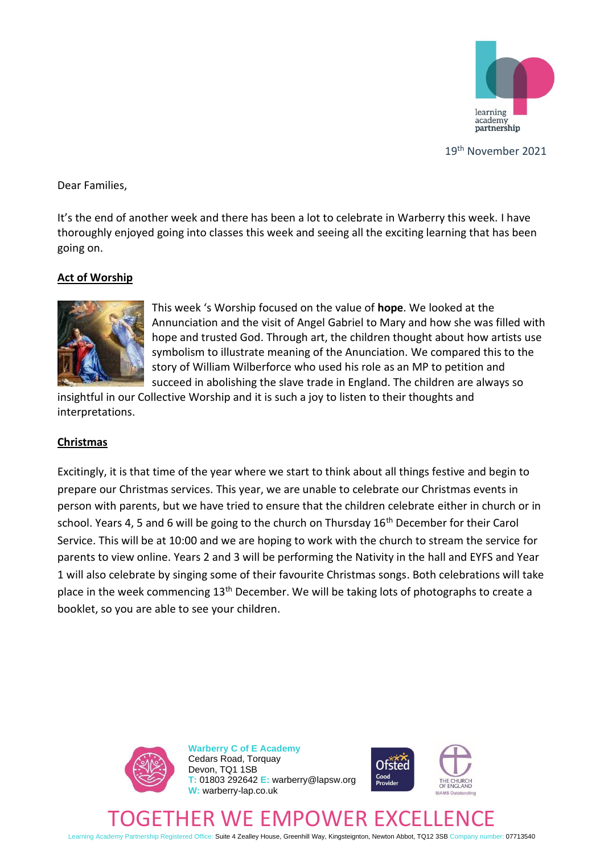

19th November 2021

Dear Families,

It's the end of another week and there has been a lot to celebrate in Warberry this week. I have thoroughly enjoyed going into classes this week and seeing all the exciting learning that has been going on.

# **Act of Worship**



This week 's Worship focused on the value of **hope**. We looked at the Annunciation and the visit of Angel Gabriel to Mary and how she was filled with hope and trusted God. Through art, the children thought about how artists use symbolism to illustrate meaning of the Anunciation. We compared this to the story of William Wilberforce who used his role as an MP to petition and succeed in abolishing the slave trade in England. The children are always so

insightful in our Collective Worship and it is such a joy to listen to their thoughts and interpretations.

# **Christmas**

Excitingly, it is that time of the year where we start to think about all things festive and begin to prepare our Christmas services. This year, we are unable to celebrate our Christmas events in person with parents, but we have tried to ensure that the children celebrate either in church or in school. Years 4, 5 and 6 will be going to the church on Thursday 16<sup>th</sup> December for their Carol Service. This will be at 10:00 and we are hoping to work with the church to stream the service for parents to view online. Years 2 and 3 will be performing the Nativity in the hall and EYFS and Year 1 will also celebrate by singing some of their favourite Christmas songs. Both celebrations will take place in the week commencing 13<sup>th</sup> December. We will be taking lots of photographs to create a booklet, so you are able to see your children.



**Warberry C of E Academy** Cedars Road, Torquay Devon, TQ1 1SB **T:** 01803 292642 **E:** warberry@lapsw.org **W:** warberry-lap.co.uk



# CHURCH THER WE EMPOWER

Learning Academy Partnership Registered Office: Suite 4 Zealley House, Greenhill Way, Kingsteignton, Newton Abbot, TQ12 3SB Company number: 07713540